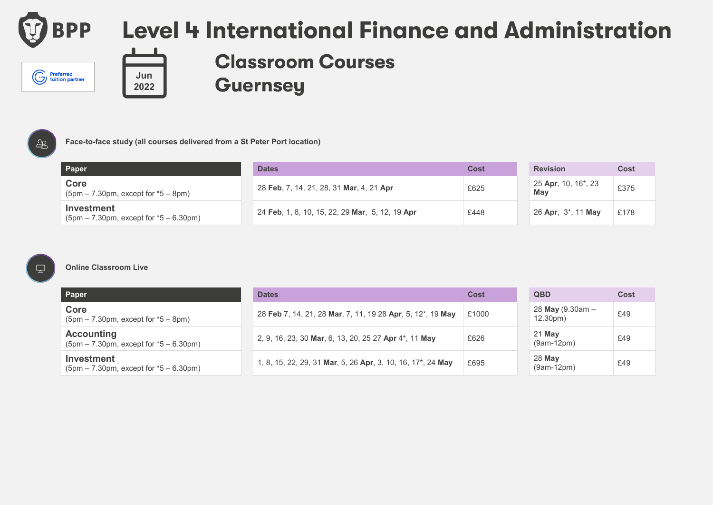

Preferred<br>
U tuition partner

## Level 4 International Finance and Administration



### **Classroom Courses Guernsey**



#### **Face-to-face study (all courses delivered from a St Peter Port location)**

| Paper                                                                             | <b>Dates</b>                                    | Cost | <b>Revision</b>                         | <b>Cost</b> |
|-----------------------------------------------------------------------------------|-------------------------------------------------|------|-----------------------------------------|-------------|
| Core<br>$(5pm - 7.30pm, except for *5 - 8pm)$                                     | 28 Feb, 7, 14, 21, 28, 31 Mar, 4, 21 Apr        | £625 | 25 Apr, 10, 16 <sup>*</sup> , 23<br>Mav | £375        |
| Investment<br>$(5 \text{pm} - 7.30 \text{pm})$ , except for $*5 - 6.30 \text{pm}$ | 24 Feb. 1, 8, 10, 15, 22, 29 Mar, 5, 12, 19 Apr | £448 | 26 Apr, 3 <sup>*</sup> , 11 May         | £178        |

 $\Box$ 

#### **Online Classroom Live**

| Paper                                                         | <b>Dates</b>                                                | Cost  | <b>QBD</b>                     | Cost |
|---------------------------------------------------------------|-------------------------------------------------------------|-------|--------------------------------|------|
| Core<br>$(5pm - 7.30pm, except for *5 - 8pm)$                 | 28 Feb 7, 14, 21, 28 Mar, 7, 11, 19 28 Apr, 5, 12*, 19 May  | £1000 | 28 May (9.30am $-$<br>12.30pm) | £49  |
| <b>Accounting</b><br>$(5pm - 7.30pm, except for *5 - 6.30pm)$ | 2, 9, 16, 23, 30 Mar, 6, 13, 20, 25 27 Apr 4*, 11 May       | £626  | 21 May<br>$(9am-12pm)$         | £49  |
| Investment<br>$(5pm - 7.30pm, except for *5 - 6.30pm)$        | 1, 8, 15, 22, 29, 31 Mar, 5, 26 Apr, 3, 10, 16, 17*, 24 May | £695  | 28 May<br>$(9am-12pm)$         | £49  |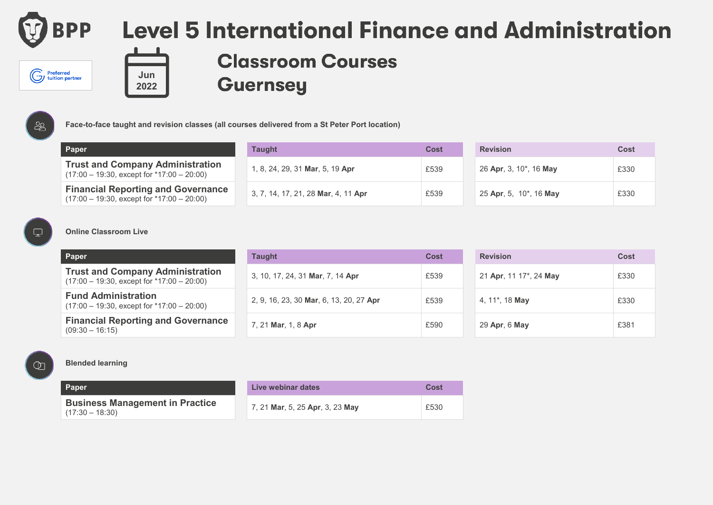

# **Level 5 International Finance and Administration**



**Classroom Courses Guernsey** 



**Paper Taught Cost Revision Cost Trust and Company Administration** (17:00 – 19:30, except for \*17:00 – 20:00) 1, 8, 24, 29, 31 **Mar**, 5, 19 **Apr E539** 

| <b>THUSE AND COMPANY AUTHINISTIATION</b><br>$(17:00 - 19:30,$ except for $*17:00 - 20:00)$  | 1, 8, 24, 29, 31 Mar, 5, 19 Apr     | £539 | 26 Apr, 3, 10 <sup>*</sup> , 16 May | £330 |
|---------------------------------------------------------------------------------------------|-------------------------------------|------|-------------------------------------|------|
| <b>Financial Reporting and Governance</b><br>$(17:00 - 19:30,$ except for $*17:00 - 20:00)$ | 3, 7, 14, 17, 21, 28 Mar, 4, 11 Apr | £539 | 25 Apr, 5, 10 <sup>*</sup> , 16 May | £330 |

**Face-to-face taught and revision classes (all courses delivered from a St Peter Port location)**

| <b>Revision</b>        | Cost |
|------------------------|------|
| 26 Apr, 3, 10*, 16 May | £330 |
| 25 Apr, 5, 10*, 16 May | £330 |

#### $\Box$

#### **Online Classroom Live**

| Paper                                                                                     | Taught                                  | Cost | <b>Revision</b>                     | Cost |
|-------------------------------------------------------------------------------------------|-----------------------------------------|------|-------------------------------------|------|
| <b>Trust and Company Administration</b><br>$(17:00 - 19:30,$ except for $*17:00 - 20:00)$ | 3, 10, 17, 24, 31 Mar, 7, 14 Apr        | £539 | 21 Apr, 11 17 <sup>*</sup> , 24 May | £330 |
| <b>Fund Administration</b><br>$(17:00 - 19:30,$ except for $*17:00 - 20:00)$              | 2, 9, 16, 23, 30 Mar, 6, 13, 20, 27 Apr | £539 | 4, 11 <sup>*</sup> , 18 <b>May</b>  | £330 |
| <b>Financial Reporting and Governance</b><br>$(09:30 - 16:15)$                            | 7, 21 Mar, 1, 8 Apr                     | £590 | 29 Apr, 6 May                       | £381 |

 $\circledcirc$ 

#### **Blended learning**

| Paper                                  | Live y |
|----------------------------------------|--------|
| <b>Business Management in Practice</b> | 7, 21  |
| $(17.30 - 18.30)$                      |        |

| Paper                                                       | Live webinar dates              | Cost |
|-------------------------------------------------------------|---------------------------------|------|
| <b>Business Management in Practice</b><br>$(17:30 - 18:30)$ | 7, 21 Mar, 5, 25 Apr, 3, 23 May | £530 |